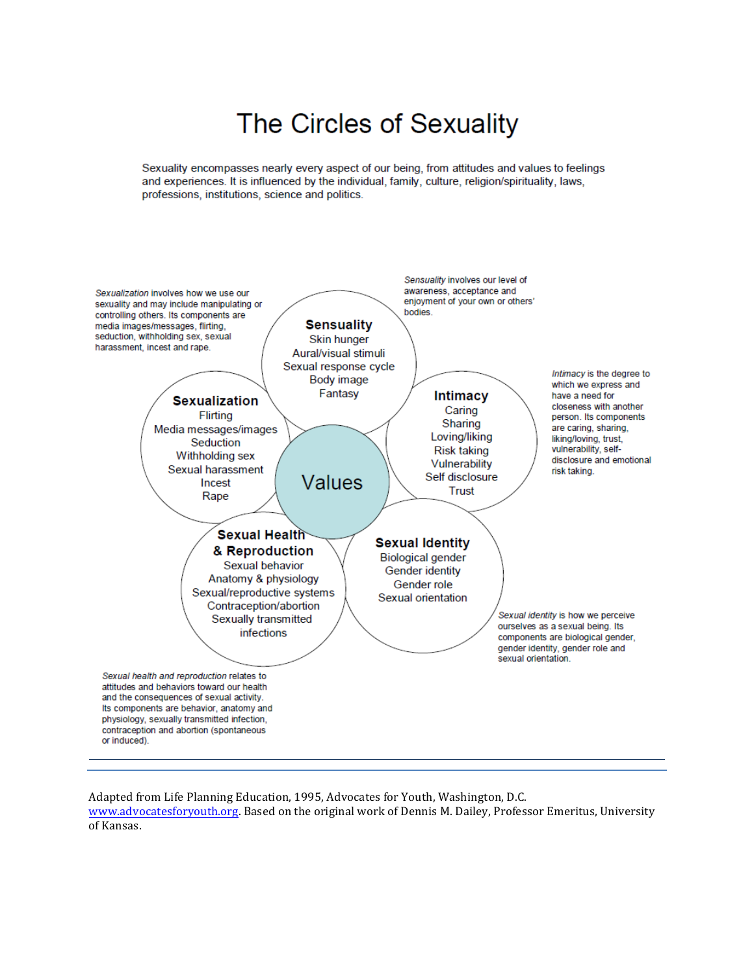# The Circles of Sexuality

Sexuality encompasses nearly every aspect of our being, from attitudes and values to feelings and experiences. It is influenced by the individual, family, culture, religion/spirituality, laws, professions, institutions, science and politics.



Adapted from Life Planning Education, 1995, Advocates for Youth, Washington, D.C.

www.advocatesforyouth.org. Based on the original work of Dennis M. Dailey, Professor Emeritus, University of Kansas.